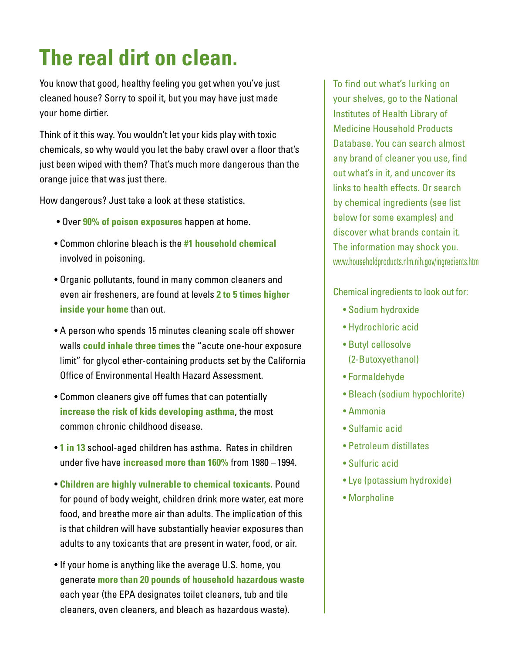## **The real dirt on clean.**

You know that good, healthy feeling you get when you've just cleaned house? Sorry to spoil it, but you may have just made your home dirtier.

Think of it this way. You wouldn't let your kids play with toxic chemicals, so why would you let the baby crawl over a floor that's just been wiped with them? That's much more dangerous than the orange juice that was just there.

How dangerous? Just take a look at these statistics.

- Over **90% of poison exposures** happen at home.
- Common chlorine bleach is the **#1 household chemical** involved in poisoning.
- Organic pollutants, found in many common cleaners and even air fresheners, are found at levels **2 to 5 times higher inside your home** than out.
- A person who spends 15 minutes cleaning scale off shower walls **could inhale three times** the "acute one-hour exposure limit" for glycol ether-containing products set by the California Office of Environmental Health Hazard Assessment.
- Common cleaners give off fumes that can potentially **increase the risk of kids developing asthma**, the most common chronic childhood disease.
- **1 in 13** school-aged children has asthma. Rates in children under five have **increased more than 160%** from 1980 – 1994.
- **Children are highly vulnerable to chemical toxicants.** Pound for pound of body weight, children drink more water, eat more food, and breathe more air than adults. The implication of this is that children will have substantially heavier exposures than adults to any toxicants that are present in water, food, or air.
- If your home is anything like the average U.S. home, you generate **more than 20 pounds of household hazardous waste** each year (the EPA designates toilet cleaners, tub and tile cleaners, oven cleaners, and bleach as hazardous waste).

To find out what's lurking on your shelves, go to the National Institutes of Health Library of Medicine Household Products Database. You can search almost any brand of cleaner you use, find out what's in it, and uncover its links to health effects. Or search by chemical ingredients (see list below for some examples) and discover what brands contain it. The information may shock you. www.householdproducts.nlm.nih.gov/ingredients.htm

Chemical ingredients to look out for:

- Sodium hydroxide
- Hydrochloric acid
- Butyl cellosolve (2-Butoxyethanol)
- Formaldehyde
- Bleach (sodium hypochlorite)
- Ammonia
- Sulfamic acid
- Petroleum distillates
- Sulfuric acid
- Lye (potassium hydroxide)
- Morpholine